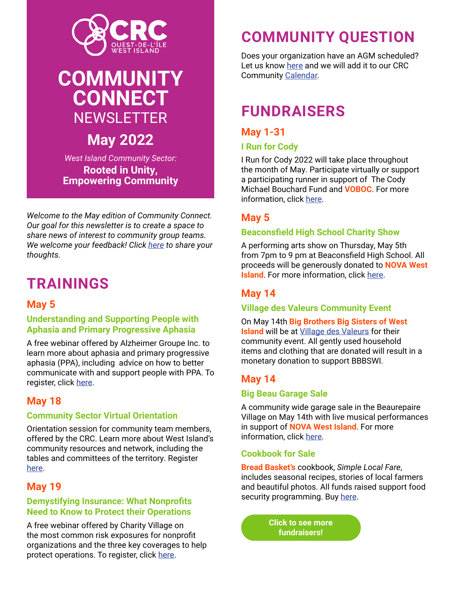

# **COMMUNITY CONNECT NEWSLETTER**

**May 2022**

*West Island Community Sector:* **Rooted in Unity, Empowering Community**

*Welcome to the May edition of Community Connect. Our goal for this newsletter is to create a space to share news of interest to community group teams. We welcome your feedback! Click [here](https://docs.google.com/forms/d/e/1FAIpQLSf89kJiuVx8NHvX_0vwSx4WRQ_II7J0p02-sSSuGZaaaGWEbA/viewform) to share your thoughts.*

# **TRAININGS**

## **May 5**

#### **Understanding and Supporting People with Aphasia and Primary Progressive Aphasia**

A free webinar offered by Alzheimer Groupe Inc. to learn more about aphasia and primary progressive aphasia (PPA), including advice on how to better communicate with and support people with PPA. To register, click [here](https://interland3.donorperfect.net/weblink/WebLink.aspx?name=E920051QE&id=126).

## **May 18**

#### **Community Sector Virtual Orientation**

Orientation session for community team members, offered by the CRC. Learn more about West Island's community resources and network, including the tables and committees of the territory. Register [here](https://www.eventbrite.ca/e/crc-session-dinformation-mai-2022-tickets-323288072327).

## **May 19**

#### **Demystifying Insurance: What Nonprofits Need to Know to Protect their Operations**

A free webinar offered by Charity Village on the most common risk exposures for nonprofit organizations and the three key coverages to help protect operations. To register, click [here](https://charityvillage.com/demystifying-insurance-what-nonprofits-need-to-know-to-protect-their-operations/).

# **COMMUNITY QUESTION**

Does your organization have an AGM scheduled? Let us know [here](https://docs.google.com/forms/d/e/1FAIpQLSdTVQUhaE9-T1yvWrVQj6cHnq2q_7sV9OMke9y1MVBvZhTxvg/viewform) and we will add it to our CRC Community [Calendar.](https://crcinfo.ca/calendars/#tab-eventsandworkshops)

# **FUNDRAISERS**

## **May 1-31**

### **I Run for Cody**

I Run for Cody 2022 will take place throughout the month of May. Participate virtually or support a participating runner in support of The Cody Michael Bouchard Fund and **VOBOC**. For more information, click [here](https://raceroster.com/events/2022/50770/tamarack-ottawa-race-weekend-2022/pledge/team/111?fbclid=IwAR0sH4hHMFsGbcrmj7UxhRTnav85Hc0VrxTvY-fm5OHDjLHXA_JIrjoX5vo).

## **May 5**

### **Beaconsfield High School Charity Show**

A performing arts show on Thursday, May 5th from 7pm to 9 pm at Beaconsfield High School. All proceeds will be generously donated to **NOVA West Island**. For more information, click [here.](https://crcinfo.ca/wp-content/uploads/2022/04/Charity-Showcase-Poster-2022-scaled.jpg)

## **May 14**

#### **Village des Valeurs Community Event**

On May 14th **Big Brothers Big Sisters of West Island** will be at [Village des Valeurs](https://magasinage.villagedesvaleurs.com/qc/dollard-des-ormeaux/villagedesvaleurs-magasin-doccasions-2082.html?site=ValueVillage&country=ca/qc/dollard-des-ormeaux/villagedesvaleurs-magasin-doccasions-2082.html?site&country=ca/qc/dollard-des-ormeaux/villagedesvaleurs-magasin-doccasions-2082.html) for their community event. All gently used household items and clothing that are donated will result in a monetary donation to support BBBSWI.

## **May 14**

#### **Big Beau Garage Sale**

A community wide garage sale in the Beaurepaire Village on May 14th with live musical performances in support of **NOVA West Island**. For more information, click [here](https://www.facebook.com/LesAmisduVillageBeaurepaire/).

#### **Cookbook for Sale**

**Bread Basket's** cookbook, *Simple Local Fare*, includes seasonal recipes, stories of local farmers and beautiful photos. All funds raised support food security programming. Buy [here](https://www.corbeilledepain.com/cookbook).

> **[Click to see more](https://crcinfo.ca/news/)  fundraisers!**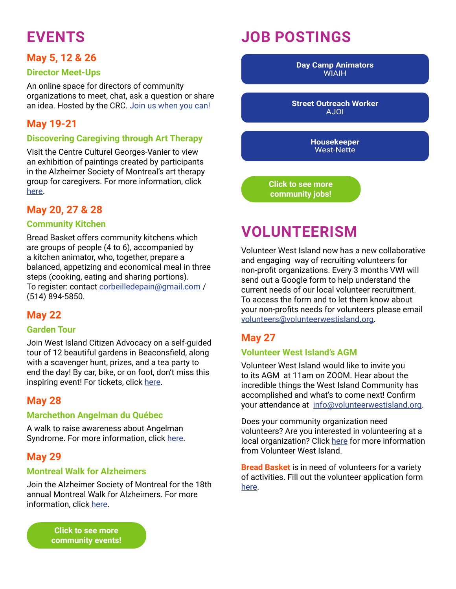# **EVENTS**

### **May 5, 12 & 26**

#### **Director Meet-Ups**

An online space for directors of community organizations to meet, chat, ask a question or share an idea. Hosted by the CRC. [Join us when you can!](https://crcinfo.ca/wp-content/uploads/2022/04/May-invite.jpg)

### **May 19-21**

#### **Discovering Caregiving through Art Therapy**

Visit the Centre Culturel Georges-Vanier to view an exhibition of paintings created by participants in the Alzheimer Society of Montreal's art therapy group for caregivers. For more information, click [here](https://www.ccgv.ca/).

### **May 20, 27 & 28**

#### **Community Kitchen**

Bread Basket offers community kitchens which are groups of people (4 to 6), accompanied by a kitchen animator, who, together, prepare a balanced, appetizing and economical meal in three steps (cooking, eating and sharing portions). To register: contact [corbeilledepain@gmail.com](mailto:corbeilledepain%40gmail.com?subject=) / (514) 894-5850.

### **May 22**

#### **Garden Tour**

Join West Island Citizen Advocacy on a self-guided tour of 12 beautiful gardens in Beaconsfield, along with a scavenger hunt, prizes, and a tea party to end the day! By car, bike, or on foot, don't miss this inspiring event! For tickets, click [here.](www.volunteerwica.com)

### **May 28**

#### **Marchethon Angelman du Québec**

A walk to raise awareness about Angelman Syndrome. For more information, click [here](https://facebook.com/events/s/marchethon-angelman-du-quebec/265763262410455/).

## **May 29**

#### **Montreal Walk for Alzheimers**

Join the Alzheimer Society of Montreal for the 18th annual Montreal Walk for Alzheimers. For more information, click [here](https://imakeanonlinedonation.org/socalzh/campaign/marche?OrgName=socalzh&CampaignName=marche&fbclid=IwAR022fKtcJyckh40yE02sJ8JF4gkPvDdIQtw4Lq-xj4j5e2DPFd3y5W3_bI&utm_source=newsletter_534&utm_medium=email&utm_campaign=marchons-pour-l-alzheimer).

> **Click to see more [community events!](https://crcinfo.ca/calendars/#tab-eventsandworkshops)**

# **JOB POSTINGS**

**[Day Camp Animators](https://crcinfo.ca/wp-content/uploads/2022/04/2022-Instagram-SM-Summer-Job-Postings-Eng-HR-scaled.jpg) WIAIH** 

**[Street Outreach Worker](https://crcinfo.ca/wp-content/uploads/2022/04/Offre-demploi..pdf)** AJOI

> **[Housekeeper](https://crcinfo.ca/wp-content/uploads/2021/11/West-Nette-EN-NOV.pdf)** West-Nette

**[Click to see more](https://crcinfo.ca/jobs/)  community jobs!**

# **VOLUNTEERISM**

Volunteer West Island now has a new collaborative and engaging way of recruiting volunteers for non-profit organizations. Every 3 months VWI will send out a Google form to help understand the current needs of our local volunteer recruitment. To access the form and to let them know about your non-profits needs for volunteers please email [volunteers@volunteerwestisland.org.](mailto:volunteers%40volunteerwestisland.org?subject=)

## **May 27**

#### **Volunteer West Island's AGM**

Volunteer West Island would like to invite you to its AGM at 11am on ZOOM. Hear about the incredible things the West Island Community has accomplished and what's to come next! Confirm your attendance at [info@volunteerwestisland.org](mailto:info%40volunteerwestisland.org?subject=).

Does your community organization need volunteers? Are you interested in volunteering at a local organization? Click [here](https://crcinfo.ca/wp-content/uploads/2022/01/VWI-Flyer.pdf) for more information from Volunteer West Island.

**Bread Basket** is in need of volunteers for a variety of activities. Fill out the volunteer application form [here](https://docs.google.com/forms/d/e/1FAIpQLSczb-LdFLwYdG9SHMjGcUNT9OmWneNgzMT2WR-OgS-k5YE2zQ/viewform).